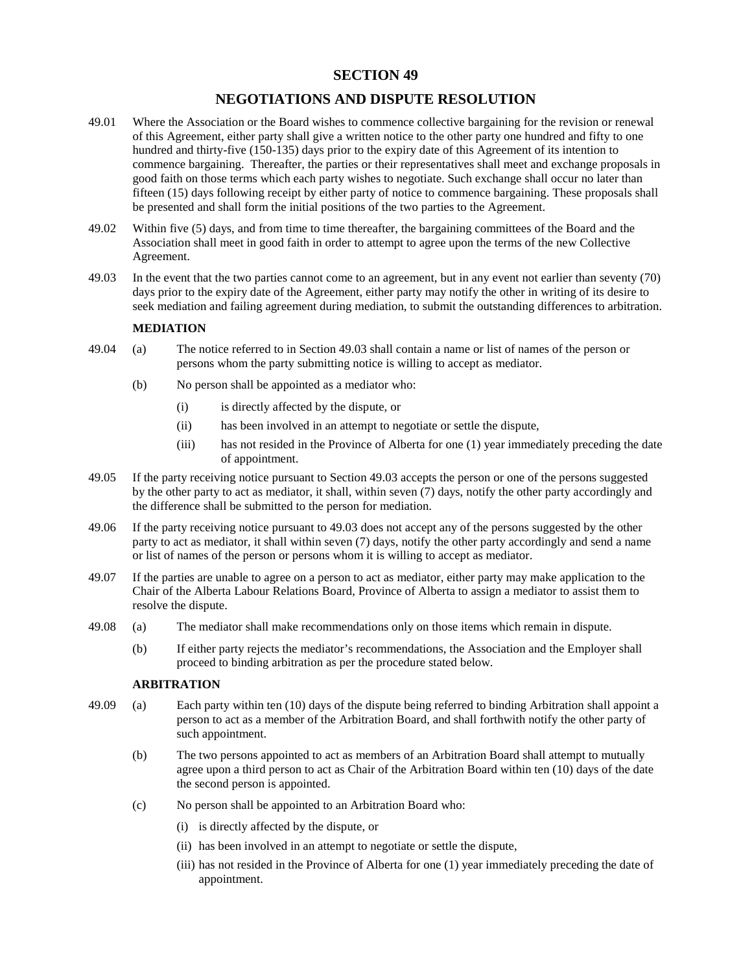## **SECTION 49**

## **NEGOTIATIONS AND DISPUTE RESOLUTION**

- 49.01 Where the Association or the Board wishes to commence collective bargaining for the revision or renewal of this Agreement, either party shall give a written notice to the other party one hundred and fifty to one hundred and thirty-five (150-135) days prior to the expiry date of this Agreement of its intention to commence bargaining. Thereafter, the parties or their representatives shall meet and exchange proposals in good faith on those terms which each party wishes to negotiate. Such exchange shall occur no later than fifteen (15) days following receipt by either party of notice to commence bargaining. These proposals shall be presented and shall form the initial positions of the two parties to the Agreement.
- 49.02 Within five (5) days, and from time to time thereafter, the bargaining committees of the Board and the Association shall meet in good faith in order to attempt to agree upon the terms of the new Collective Agreement.
- 49.03 In the event that the two parties cannot come to an agreement, but in any event not earlier than seventy (70) days prior to the expiry date of the Agreement, either party may notify the other in writing of its desire to seek mediation and failing agreement during mediation, to submit the outstanding differences to arbitration.

## **MEDIATION**

- 49.04 (a) The notice referred to in Section 49.03 shall contain a name or list of names of the person or persons whom the party submitting notice is willing to accept as mediator.
	- (b) No person shall be appointed as a mediator who:
		- (i) is directly affected by the dispute, or
		- (ii) has been involved in an attempt to negotiate or settle the dispute,
		- (iii) has not resided in the Province of Alberta for one (1) year immediately preceding the date of appointment.
- 49.05 If the party receiving notice pursuant to Section 49.03 accepts the person or one of the persons suggested by the other party to act as mediator, it shall, within seven (7) days, notify the other party accordingly and the difference shall be submitted to the person for mediation.
- 49.06 If the party receiving notice pursuant to 49.03 does not accept any of the persons suggested by the other party to act as mediator, it shall within seven (7) days, notify the other party accordingly and send a name or list of names of the person or persons whom it is willing to accept as mediator.
- 49.07 If the parties are unable to agree on a person to act as mediator, either party may make application to the Chair of the Alberta Labour Relations Board, Province of Alberta to assign a mediator to assist them to resolve the dispute.
- 49.08 (a) The mediator shall make recommendations only on those items which remain in dispute.
	- (b) If either party rejects the mediator's recommendations, the Association and the Employer shall proceed to binding arbitration as per the procedure stated below.

## **ARBITRATION**

- 49.09 (a) Each party within ten (10) days of the dispute being referred to binding Arbitration shall appoint a person to act as a member of the Arbitration Board, and shall forthwith notify the other party of such appointment.
	- (b) The two persons appointed to act as members of an Arbitration Board shall attempt to mutually agree upon a third person to act as Chair of the Arbitration Board within ten (10) days of the date the second person is appointed.
	- (c) No person shall be appointed to an Arbitration Board who:
		- (i) is directly affected by the dispute, or
		- (ii) has been involved in an attempt to negotiate or settle the dispute,
		- (iii) has not resided in the Province of Alberta for one (1) year immediately preceding the date of appointment.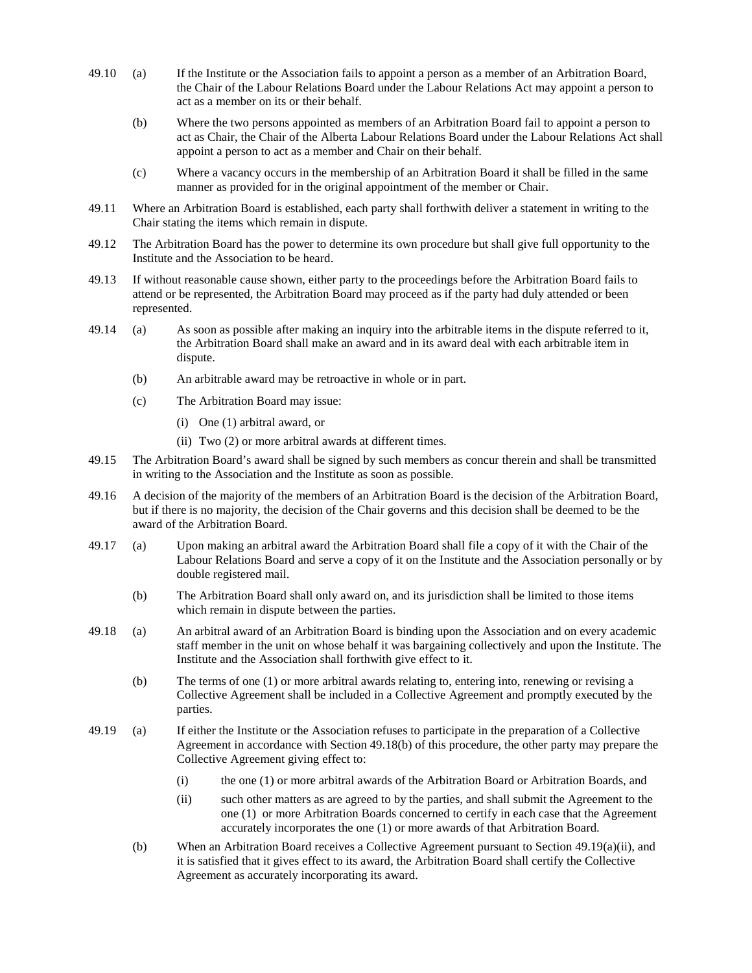- 49.10 (a) If the Institute or the Association fails to appoint a person as a member of an Arbitration Board, the Chair of the Labour Relations Board under the Labour Relations Act may appoint a person to act as a member on its or their behalf.
	- (b) Where the two persons appointed as members of an Arbitration Board fail to appoint a person to act as Chair, the Chair of the Alberta Labour Relations Board under the Labour Relations Act shall appoint a person to act as a member and Chair on their behalf.
	- (c) Where a vacancy occurs in the membership of an Arbitration Board it shall be filled in the same manner as provided for in the original appointment of the member or Chair.
- 49.11 Where an Arbitration Board is established, each party shall forthwith deliver a statement in writing to the Chair stating the items which remain in dispute.
- 49.12 The Arbitration Board has the power to determine its own procedure but shall give full opportunity to the Institute and the Association to be heard.
- 49.13 If without reasonable cause shown, either party to the proceedings before the Arbitration Board fails to attend or be represented, the Arbitration Board may proceed as if the party had duly attended or been represented.
- 49.14 (a) As soon as possible after making an inquiry into the arbitrable items in the dispute referred to it, the Arbitration Board shall make an award and in its award deal with each arbitrable item in dispute.
	- (b) An arbitrable award may be retroactive in whole or in part.
	- (c) The Arbitration Board may issue:
		- (i) One (1) arbitral award, or
		- (ii) Two (2) or more arbitral awards at different times.
- 49.15 The Arbitration Board's award shall be signed by such members as concur therein and shall be transmitted in writing to the Association and the Institute as soon as possible.
- 49.16 A decision of the majority of the members of an Arbitration Board is the decision of the Arbitration Board, but if there is no majority, the decision of the Chair governs and this decision shall be deemed to be the award of the Arbitration Board.
- 49.17 (a) Upon making an arbitral award the Arbitration Board shall file a copy of it with the Chair of the Labour Relations Board and serve a copy of it on the Institute and the Association personally or by double registered mail.
	- (b) The Arbitration Board shall only award on, and its jurisdiction shall be limited to those items which remain in dispute between the parties.
- 49.18 (a) An arbitral award of an Arbitration Board is binding upon the Association and on every academic staff member in the unit on whose behalf it was bargaining collectively and upon the Institute. The Institute and the Association shall forthwith give effect to it.
	- (b) The terms of one (1) or more arbitral awards relating to, entering into, renewing or revising a Collective Agreement shall be included in a Collective Agreement and promptly executed by the parties.
- 49.19 (a) If either the Institute or the Association refuses to participate in the preparation of a Collective Agreement in accordance with Section 49.18(b) of this procedure, the other party may prepare the Collective Agreement giving effect to:
	- (i) the one (1) or more arbitral awards of the Arbitration Board or Arbitration Boards, and
	- (ii) such other matters as are agreed to by the parties, and shall submit the Agreement to the one (1) or more Arbitration Boards concerned to certify in each case that the Agreement accurately incorporates the one (1) or more awards of that Arbitration Board.
	- (b) When an Arbitration Board receives a Collective Agreement pursuant to Section 49.19(a)(ii), and it is satisfied that it gives effect to its award, the Arbitration Board shall certify the Collective Agreement as accurately incorporating its award.